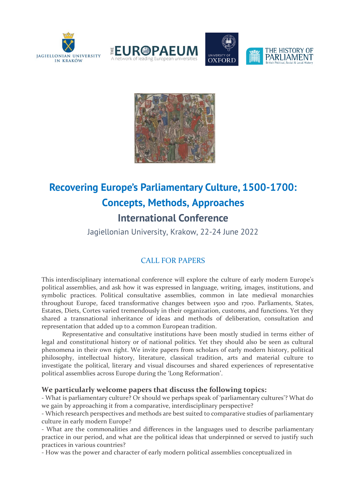







## **Recovering Europe's Parliamentary Culture, 1500-1700: Concepts, Methods, Approaches International Conference**

Jagiellonian University, Krakow, 22-24 June 2022

## CALL FOR PAPERS

This interdisciplinary international conference will explore the culture of early modern Europe's political assemblies, and ask how it was expressed in language, writing, images, institutions, and symbolic practices. Political consultative assemblies, common in late medieval monarchies throughout Europe, faced transformative changes between 1500 and 1700. Parliaments, States, Estates, Diets, Cortes varied tremendously in their organization, customs, and functions. Yet they shared a transnational inheritance of ideas and methods of deliberation, consultation and representation that added up to a common European tradition.

Representative and consultative institutions have been mostly studied in terms either of legal and constitutional history or of national politics. Yet they should also be seen as cultural phenomena in their own right. We invite papers from scholars of early modern history, political philosophy, intellectual history, literature, classical tradition, arts and material culture to investigate the political, literary and visual discourses and shared experiences of representative political assemblies across Europe during the 'Long Reformation'.

## **We particularly welcome papers that discuss the following topics:**

- What is parliamentary culture? Or should we perhaps speak of 'parliamentary cultures'? What do we gain by approaching it from a comparative, interdisciplinary perspective?

- Which research perspectives and methods are best suited to comparative studies of parliamentary culture in early modern Europe?

- What are the commonalities and differences in the languages used to describe parliamentary practice in our period, and what are the political ideas that underpinned or served to justify such practices in various countries?

- How was the power and character of early modern political assemblies conceptualized in